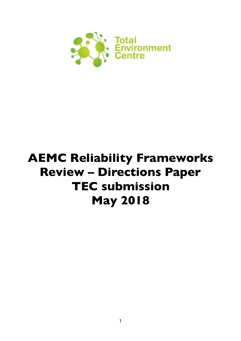

# **AEMC Reliability Frameworks Review – Directions Paper TEC submission May 2018**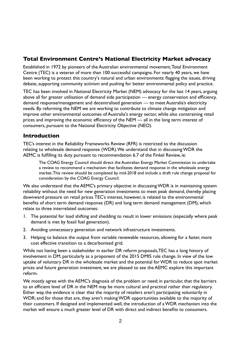### **Total Environment Centre's National Electricity Market advocacy**

Established in 1972 by pioneers of the Australian environmental movement, Total Environment Centre (TEC) is a veteran of more than 100 successful campaigns. For nearly 40 years, we have been working to protect this country's natural and urban environments: flagging the issues, driving debate, supporting community activism and pushing for better environmental policy and practice.

TEC has been involved in National Electricity Market (NEM) advocacy for the last 14 years, arguing above all for greater utilisation of demand side participation — energy conservation and efficiency, demand response/management and decentralised generation — to meet Australia's electricity needs. By reforming the NEM we are working to contribute to climate change mitigation and improve other environmental outcomes of Australia's energy sector, while also constraining retail prices and improving the economic efficiency of the NEM — all in the long term interest of consumers, pursuant to the National Electricity Objective (NEO).

#### **Introduction**

TEC's interest in the Reliability Frameworks Review (RFR) is restricted to the discussion relating to wholesale demand response (WDR). We understand that in discussing WDR the AEMC is fulfilling its duty pursuant to recommendation 6.7 of the Finkel Review, ie:

The COAG Energy Council should direct the Australian Energy Market Commission to undertake a review to recommend a mechanism that facilitates demand response in the wholesale energy market. This review should be completed by mid-2018 and include a draft rule change proposal for consideration by the COAG Energy Council.

We also understand that the AEMC's primary objective in discussing WDR is in maintaining system reliability without the need for new generation investments to meet peak demand, thereby placing downward pressure on retail prices. TEC's interest, however, is related to the environmental benefits of short term demand response (DR) and long term demand management (DM), which relate to three interrelated outcomes:

- 1. The potential for load shifting and shedding to result in lower emissions (especially where peak demand is met by fossil fuel generation).
- 2. Avoiding unnecessary generation and network infrastructure investments.
- 3. Helping to balance the output from variable renewable resources, allowing for a faster, more cost effective transition to a decarbonised grid.

While not having been a stakeholder in earlier DR reform proposals,TEC has a long history of involvement in DM, particularly as a proponent of the 2015 DMIS rule change. In view of the low uptake of voluntary DR in the wholesale market and the potential for WDR to reduce spot market prices and future generation investment, we are pleased to see the AEMC explore this important reform.

We mostly agree with the AEMC's diagnosis of the problem or need; in particular, that the barriers to an efficient level of DR in the NEM may be more cultural and practical rather than regulatory. Either way, the evidence is clear that the majority of retailers aren't participating voluntarily in WDR; and for those that are, they aren't making WDR opportunities available to the majority of their customers. If designed and implemented well, the introduction of a WDR mechanism into the market will ensure a much greater level of DR with direct and indirect benefits to consumers.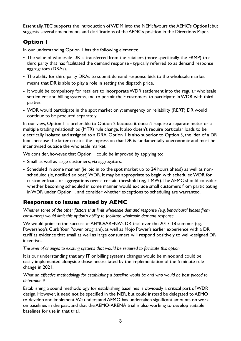Essentially, TEC supports the introduction of WDM into the NEM; favours the AEMC's Option1; but suggests several amendments and clarifications of the AEMC's position in the Directions Paper.

# **Option 1**

In our understanding Option 1 has the following elements:

- The value of wholesale DR is transferred from the retailers (more specifically, the FRMP) to a third party that has facilitated the demand response - typically referred to as demand response aggregators (DRAs).
- The ability for third party DRAs to submit demand response bids to the wholesale market means that DR is able to play a role in setting the dispatch price.
- It would be compulsory for retailers to incorporate WDR settlement into the regular wholesale settlement and billing systems, and to permit their customers to participate in WDR with third parties.
- WDR would participate in the spot market only; emergency or reliability (RERT) DR would continue to be procured separately.

In our view, Option 1 is preferable to Option 2 because it doesn't require a separate meter or a multiple trading relationships (MTR) rule change. It also doesn't require particular loads to be electrically isolated and assigned to a DRA. Option 1 is also superior to Option 3, the idea of a DR fund, because the latter creates the impression that DR is fundamentally uneconomic and must be incentivised outside the wholesale market.

We consider, however, that Option 1 could be improved by applying to:

- Small as well as large customers, via aggregators.
- Scheduled in some manner (ie, bid in to the spot market up to 24 hours ahead) as well as nonscheduled (ie, notified ex post) WDR. It may be appropriate to begin with scheduled WDR for customer loads or aggregations over a certain threshold (eg, 1 MW). The AEMC should consider whether becoming scheduled in some manner would exclude small customers from participating in WDR under Option 1, and consider whether exceptions to scheduling are warranted.

## **Responses to issues raised by AEMC**

*Whether some of the other factors that limit wholesale demand response (e.g. behavioural biases from consumers) would limit this option's ability to facilitate wholesale demand response*

We would point to the success of AEMO/ARENA's DR trial over the 2017-18 summer (eg, Powershop's Curb Your Power program), as well as Mojo Power's earlier experience with a DR tariff as evidence that small as well as large consumers will respond positively to well-designed DR incentives.

*The level of changes to existing systems that would be required to facilitate this option*

It is our understanding that any IT or billing systems changes would be minor, and could be easily implemented alongside those necessitated by the implementation of the 5 minute rule change in 2021.

#### *What an effective methodology for establishing a baseline would be and who would be best placed to determine it*

Establishing a sound methodology for establishing baselines is obviously a critical part of WDR design. However, it need not be specified in the NER, but could instead be delegated to AEMO to develop and implement. We understand AEMO has undertaken significant amounts on work on baselines in the past, and that the AEMO-ARENA trial is also working to develop suitable baselines for use in that trial.